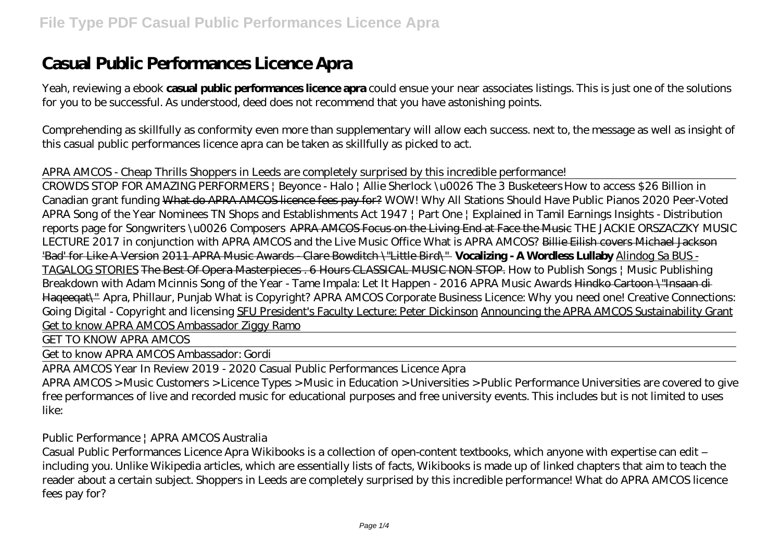# **Casual Public Performances Licence Apra**

Yeah, reviewing a ebook **casual public performances licence apra** could ensue your near associates listings. This is just one of the solutions for you to be successful. As understood, deed does not recommend that you have astonishing points.

Comprehending as skillfully as conformity even more than supplementary will allow each success. next to, the message as well as insight of this casual public performances licence apra can be taken as skillfully as picked to act.

# *APRA AMCOS - Cheap Thrills Shoppers in Leeds are completely surprised by this incredible performance!*

CROWDS STOP FOR AMAZING PERFORMERS | Beyonce - Halo | Allie Sherlock \u0026 The 3 Busketeers *How to access \$26 Billion in Canadian grant funding* What do APRA AMCOS licence fees pay for? WOW! Why All Stations Should Have Public Pianos *2020 Peer-Voted APRA Song of the Year Nominees* TN Shops and Establishments Act 1947 | Part One | Explained in Tamil *Earnings Insights - Distribution reports page for Songwriters \u0026 Composers* APRA AMCOS Focus on the Living End at Face the Music *THE JACKIE ORSZACZKY MUSIC LECTURE 2017 in conjunction with APRA AMCOS and the Live Music Office What is APRA AMCOS?* Billie Eilish covers Michael Jackson 'Bad' for Like A Version 2011 APRA Music Awards - Clare Bowditch \"Little Bird\" **Vocalizing - A Wordless Lullaby** Alindog Sa BUS - TAGALOG STORIES The Best Of Opera Masterpieces . 6 Hours CLASSICAL MUSIC NON STOP. How to Publish Songs | Music Publishing Breakdown with Adam Mcinnis *Song of the Year - Tame Impala: Let It Happen - 2016 APRA Music Awards* Hindko Cartoon \"Insaan di Haqeeqat\" Apra, Phillaur, Punjab *What is Copyright? APRA AMCOS Corporate Business Licence: Why you need one! Creative Connections: Going Digital - Copyright and licensing* SFU President's Faculty Lecture: Peter Dickinson Announcing the APRA AMCOS Sustainability Grant Get to know APRA AMCOS Ambassador Ziggy Ramo

GET TO KNOW APRA AMCOS

Get to know APRA AMCOS Ambassador: Gordi

APRA AMCOS Year In Review 2019 - 2020 Casual Public Performances Licence Apra

APRA AMCOS > Music Customers > Licence Types > Music in Education > Universities > Public Performance Universities are covered to give free performances of live and recorded music for educational purposes and free university events. This includes but is not limited to uses like:

Public Performance | APRA AMCOS Australia

Casual Public Performances Licence Apra Wikibooks is a collection of open-content textbooks, which anyone with expertise can edit – including you. Unlike Wikipedia articles, which are essentially lists of facts, Wikibooks is made up of linked chapters that aim to teach the reader about a certain subject. Shoppers in Leeds are completely surprised by this incredible performance! What do APRA AMCOS licence fees pay for?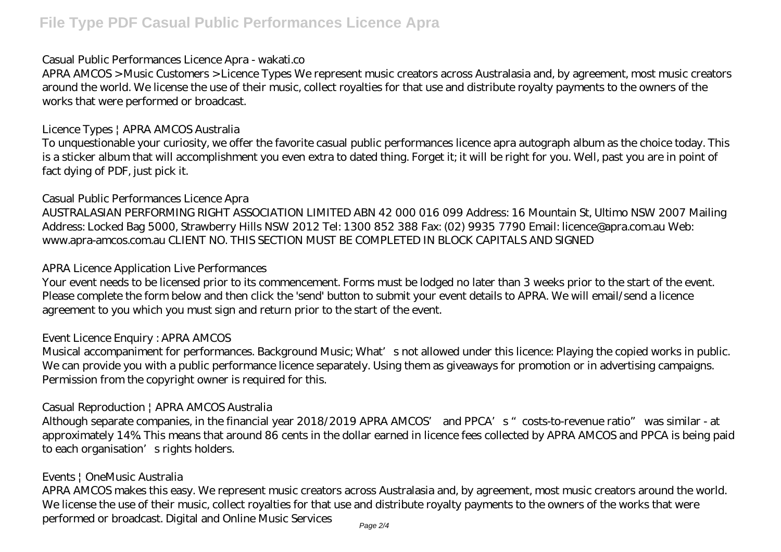# Casual Public Performances Licence Apra - wakati.co

APRA AMCOS > Music Customers > Licence Types We represent music creators across Australasia and, by agreement, most music creators around the world. We license the use of their music, collect royalties for that use and distribute royalty payments to the owners of the works that were performed or broadcast.

# Licence Types | APRA AMCOS Australia

To unquestionable your curiosity, we offer the favorite casual public performances licence apra autograph album as the choice today. This is a sticker album that will accomplishment you even extra to dated thing. Forget it; it will be right for you. Well, past you are in point of fact dying of PDF, just pick it.

# Casual Public Performances Licence Apra

AUSTRALASIAN PERFORMING RIGHT ASSOCIATION LIMITED ABN 42 000 016 099 Address: 16 Mountain St, Ultimo NSW 2007 Mailing Address: Locked Bag 5000, Strawberry Hills NSW 2012 Tel: 1300 852 388 Fax: (02) 9935 7790 Email: licence@apra.com.au Web: www.apra-amcos.com.au CLIENT NO. THIS SECTION MUST BE COMPLETED IN BLOCK CAPITALS AND SIGNED

# APRA Licence Application Live Performances

Your event needs to be licensed prior to its commencement. Forms must be lodged no later than 3 weeks prior to the start of the event. Please complete the form below and then click the 'send' button to submit your event details to APRA. We will email/send a licence agreement to you which you must sign and return prior to the start of the event.

# Event Licence Enquiry : APRA AMCOS

Musical accompaniment for performances. Background Music; What's not allowed under this licence: Playing the copied works in public. We can provide you with a public performance licence separately. Using them as giveaways for promotion or in advertising campaigns. Permission from the copyright owner is required for this.

# Casual Reproduction | APRA AMCOS Australia

Although separate companies, in the financial year 2018/2019 APRA AMCOS' and PPCA's "costs-to-revenue ratio" was similar - at approximately 14%. This means that around 86 cents in the dollar earned in licence fees collected by APRA AMCOS and PPCA is being paid to each organisation's rights holders.

# Events | OneMusic Australia

APRA AMCOS makes this easy. We represent music creators across Australasia and, by agreement, most music creators around the world. We license the use of their music, collect royalties for that use and distribute royalty payments to the owners of the works that were performed or broadcast. Digital and Online Music Services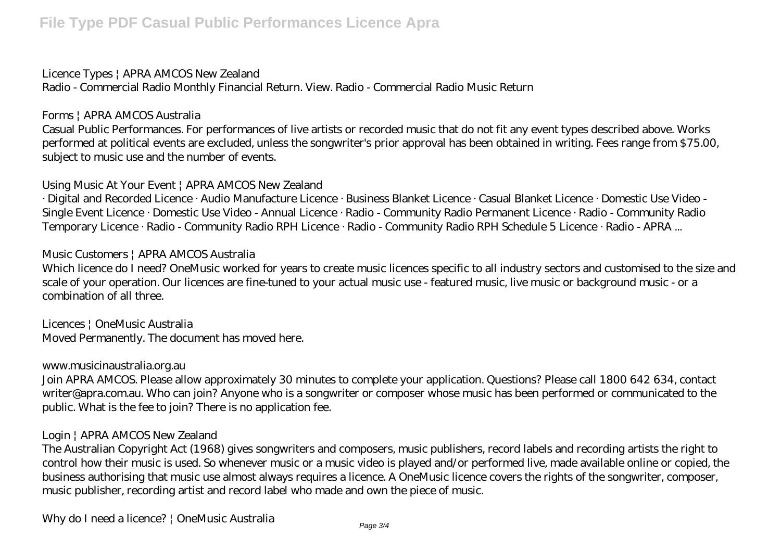#### Licence Types | APRA AMCOS New Zealand

Radio - Commercial Radio Monthly Financial Return. View. Radio - Commercial Radio Music Return

#### Forms | APRA AMCOS Australia

Casual Public Performances. For performances of live artists or recorded music that do not fit any event types described above. Works performed at political events are excluded, unless the songwriter's prior approval has been obtained in writing. Fees range from \$75.00, subject to music use and the number of events.

#### Using Music At Your Event | APRA AMCOS New Zealand

· Digital and Recorded Licence · Audio Manufacture Licence · Business Blanket Licence · Casual Blanket Licence · Domestic Use Video - Single Event Licence · Domestic Use Video - Annual Licence · Radio - Community Radio Permanent Licence · Radio - Community Radio Temporary Licence · Radio - Community Radio RPH Licence · Radio - Community Radio RPH Schedule 5 Licence · Radio - APRA ...

#### Music Customers | APRA AMCOS Australia

Which licence do I need? OneMusic worked for years to create music licences specific to all industry sectors and customised to the size and scale of your operation. Our licences are fine-tuned to your actual music use - featured music, live music or background music - or a combination of all three.

Licences | OneMusic Australia Moved Permanently. The document has moved here.

#### www.musicinaustralia.org.au

Join APRA AMCOS. Please allow approximately 30 minutes to complete your application. Questions? Please call 1800 642 634, contact writer@apra.com.au. Who can join? Anyone who is a songwriter or composer whose music has been performed or communicated to the public. What is the fee to join? There is no application fee.

# Login | APRA AMCOS New Zealand

The Australian Copyright Act (1968) gives songwriters and composers, music publishers, record labels and recording artists the right to control how their music is used. So whenever music or a music video is played and/or performed live, made available online or copied, the business authorising that music use almost always requires a licence. A OneMusic licence covers the rights of the songwriter, composer, music publisher, recording artist and record label who made and own the piece of music.

Why do I need a licence? | OneMusic Australia